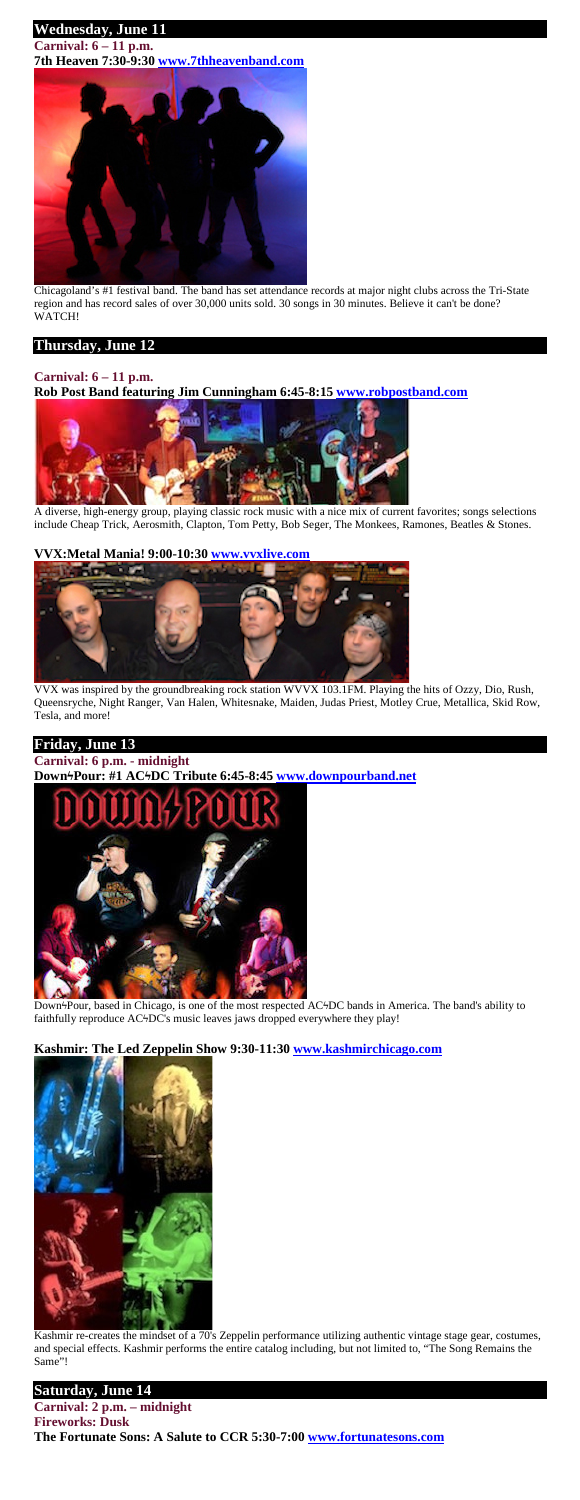# **Wednesday, June 11**

**Carnival: 6 – 11 p.m. 7th Heaven 7:30-9:30 [www.7thheavenband.com](http://www.7thheavenband.com/)**



Chicagoland's #1 festival band. The band has set attendance records at major night clubs across the Tri-State region and has record sales of over 30,000 units sold. 30 songs in 30 minutes. Believe it can't be done? WATCH!

### **Thursday, June 12**

# **Carnival: 6 – 11 p.m.**

### **Rob Post Band featuring Jim Cunningham 6:45-8:15 [www.robpostband.com](http://www.robpostband.com/)**



A diverse, high-energy group, playing classic rock music with a nice mix of current favorites; songs selections include Cheap Trick, Aerosmith, Clapton, Tom Petty, Bob Seger, The Monkees, Ramones, Beatles & Stones.

### **VVX:Metal Mania! 9:00-10:30 [www.vvxlive.com](http://www.vvxlive.com/)**



VVX was inspired by the groundbreaking rock station WVVX 103.1FM. Playing the hits of Ozzy, Dio, Rush, Queensryche, Night Ranger, Van Halen, Whitesnake, Maiden, Judas Priest, Motley Crue, Metallica, Skid Row, Tesla, and more!

### **Friday, June 13**

**Carnival: 6 p.m. - midnight DownϟPour: #1 ACϟDC Tribute 6:45-8:45 [www.downpourband.net](http://www.downpourband.net/)**



Down<sup>4</sup>Pour, based in Chicago, is one of the most respected AC<sup>4</sup>DC bands in America. The band's ability to faithfully reproduce AC<sup>1</sup>DC's music leaves jaws dropped everywhere they play!

#### **Kashmir: The Led Zeppelin Show 9:30-11:30 [www.kashmirchicago.com](http://www.kashmirchicago.com/)**



Kashmir re-creates the mindset of a 70's Zeppelin performance utilizing authentic vintage stage gear, costumes, and special effects. Kashmir performs the entire catalog including, but not limited to, "The Song Remains the Same"!

### **Saturday, June 14**

#### **Carnival: 2 p.m. – midnight Fireworks: Dusk The Fortunate Sons: A Salute to CCR 5:30-7:00 [www.fortunatesons.com](http://www.fortunatesons.com/)**